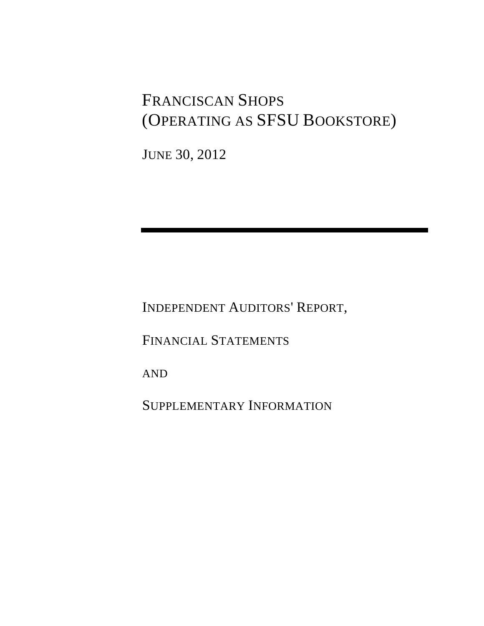# FRANCISCAN SHOPS (OPERATING AS SFSU BOOKSTORE)

JUNE 30, 2012

INDEPENDENT AUDITORS' REPORT,

FINANCIAL STATEMENTS

AND

SUPPLEMENTARY INFORMATION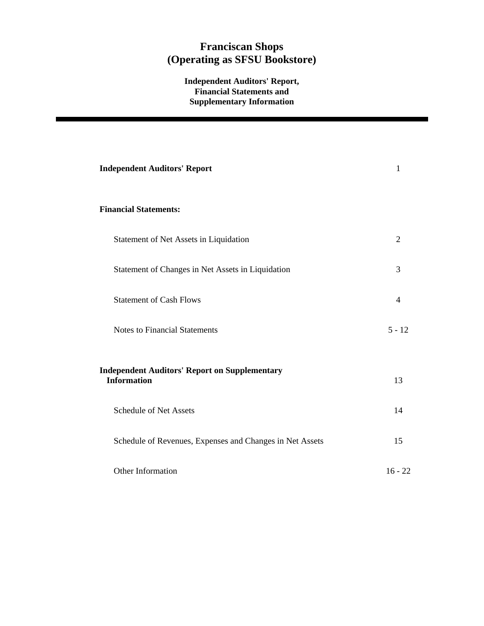## **Independent Auditors' Report, Financial Statements and Supplementary Information**

| <b>Independent Auditors' Report</b>                                        | 1         |
|----------------------------------------------------------------------------|-----------|
| <b>Financial Statements:</b>                                               |           |
| Statement of Net Assets in Liquidation                                     | 2         |
| Statement of Changes in Net Assets in Liquidation                          | 3         |
| <b>Statement of Cash Flows</b>                                             | 4         |
| <b>Notes to Financial Statements</b>                                       | $5 - 12$  |
| <b>Independent Auditors' Report on Supplementary</b><br><b>Information</b> | 13        |
| <b>Schedule of Net Assets</b>                                              | 14        |
| Schedule of Revenues, Expenses and Changes in Net Assets                   | 15        |
| Other Information                                                          | $16 - 22$ |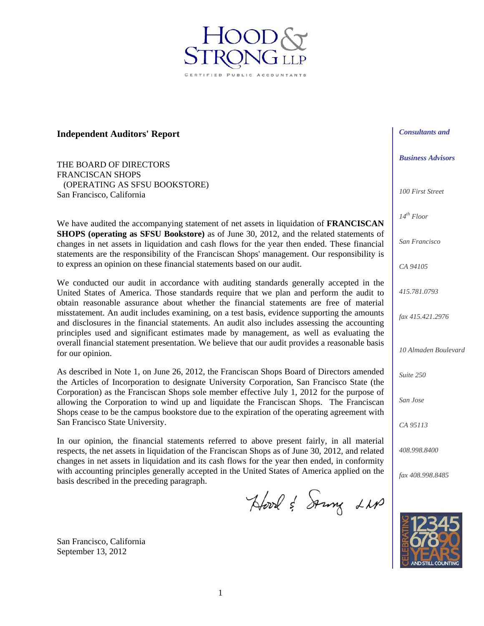**Independent Auditors' Report** 

THE BOARD OF DIRECTORS FRANCISCAN SHOPS (OPERATING AS SFSU BOOKSTORE) San Francisco, California

We have audited the accompanying statement of net assets in liquidation of **FRANCISCAN SHOPS (operating as SFSU Bookstore)** as of June 30, 2012, and the related statements of changes in net assets in liquidation and cash flows for the year then ended. These financial statements are the responsibility of the Franciscan Shops' management. Our responsibility is to express an opinion on these financial statements based on our audit.

We conducted our audit in accordance with auditing standards generally accepted in the United States of America. Those standards require that we plan and perform the audit to obtain reasonable assurance about whether the financial statements are free of material misstatement. An audit includes examining, on a test basis, evidence supporting the amounts and disclosures in the financial statements. An audit also includes assessing the accounting principles used and significant estimates made by management, as well as evaluating the overall financial statement presentation. We believe that our audit provides a reasonable basis for our opinion.

As described in Note 1, on June 26, 2012, the Franciscan Shops Board of Directors amended the Articles of Incorporation to designate University Corporation, San Francisco State (the Corporation) as the Franciscan Shops sole member effective July 1, 2012 for the purpose of allowing the Corporation to wind up and liquidate the Franciscan Shops. The Franciscan Shops cease to be the campus bookstore due to the expiration of the operating agreement with San Francisco State University.

In our opinion, the financial statements referred to above present fairly, in all material respects, the net assets in liquidation of the Franciscan Shops as of June 30, 2012, and related changes in net assets in liquidation and its cash flows for the year then ended, in conformity with accounting principles generally accepted in the United States of America applied on the basis described in the preceding paragraph.

Hood & Soung LNA

*Consultants and* 

*Business Advisors* 

*100 First Street* 

*14th Floor* 

*San Francisco* 

*CA 94105* 

*415.781.0793* 

*fax 415.421.2976* 

*10 Almaden Boulevard* 

*Suite 250* 

*San Jose* 

*CA 95113* 

*408.998.8400* 

*fax 408.998.8485* 



San Francisco, California September 13, 2012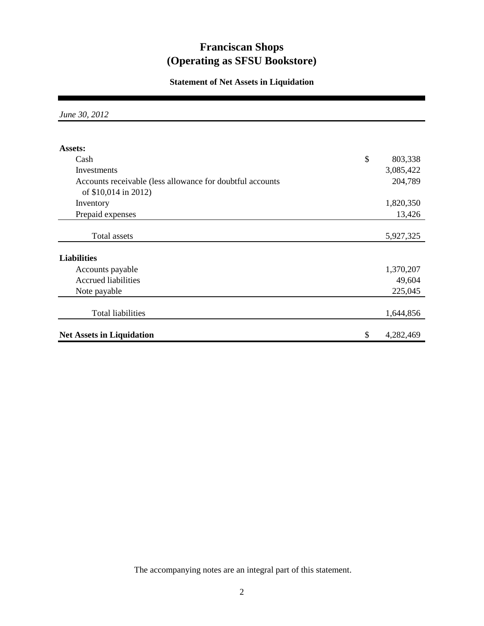## **Statement of Net Assets in Liquidation**

*June 30, 2012*

| Assets:                                                   |                 |
|-----------------------------------------------------------|-----------------|
| Cash                                                      | \$<br>803,338   |
| Investments                                               | 3,085,422       |
| Accounts receivable (less allowance for doubtful accounts | 204,789         |
| of \$10,014 in 2012)                                      |                 |
| Inventory                                                 | 1,820,350       |
| Prepaid expenses                                          | 13,426          |
|                                                           |                 |
| <b>Total assets</b>                                       | 5,927,325       |
| <b>Liabilities</b>                                        |                 |
| Accounts payable                                          | 1,370,207       |
| <b>Accrued liabilities</b>                                | 49,604          |
| Note payable                                              | 225,045         |
| Total liabilities                                         | 1,644,856       |
| <b>Net Assets in Liquidation</b>                          | \$<br>4,282,469 |

The accompanying notes are an integral part of this statement.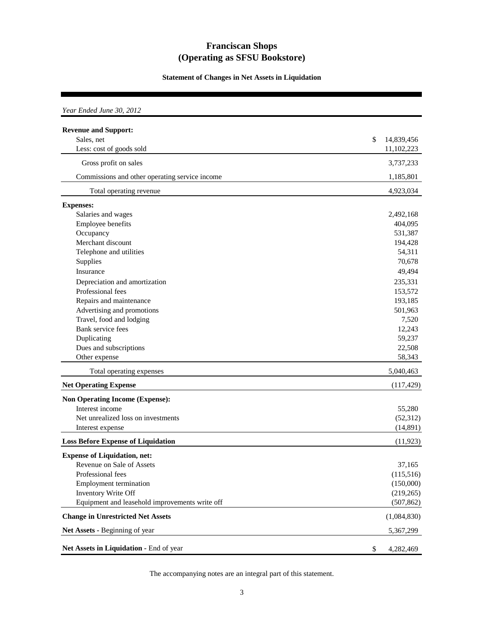**Statement of Changes in Net Assets in Liquidation**

| Year Ended June 30, 2012                                              |                                |
|-----------------------------------------------------------------------|--------------------------------|
| <b>Revenue and Support:</b><br>Sales, net<br>Less: cost of goods sold | \$<br>14,839,456<br>11,102,223 |
| Gross profit on sales                                                 | 3,737,233                      |
| Commissions and other operating service income                        | 1,185,801                      |
| Total operating revenue                                               | 4,923,034                      |
| <b>Expenses:</b>                                                      |                                |
| Salaries and wages                                                    | 2,492,168                      |
| Employee benefits                                                     | 404,095                        |
| Occupancy                                                             | 531,387                        |
| Merchant discount                                                     | 194,428                        |
| Telephone and utilities                                               | 54,311                         |
| Supplies                                                              | 70,678                         |
| Insurance                                                             | 49,494                         |
| Depreciation and amortization                                         | 235,331                        |
| Professional fees                                                     | 153,572                        |
| Repairs and maintenance                                               | 193,185                        |
| Advertising and promotions                                            | 501,963                        |
| Travel, food and lodging                                              | 7,520                          |
| Bank service fees                                                     | 12,243                         |
| Duplicating                                                           | 59,237                         |
| Dues and subscriptions                                                | 22,508                         |
| Other expense                                                         | 58,343                         |
|                                                                       |                                |
| Total operating expenses                                              | 5,040,463                      |
| <b>Net Operating Expense</b>                                          | (117, 429)                     |
| <b>Non Operating Income (Expense):</b>                                |                                |
| Interest income                                                       | 55,280                         |
| Net unrealized loss on investments                                    | (52, 312)                      |
| Interest expense                                                      | (14, 891)                      |
| <b>Loss Before Expense of Liquidation</b>                             | (11, 923)                      |
| <b>Expense of Liquidation, net:</b>                                   |                                |
| Revenue on Sale of Assets                                             | 37,165                         |
| Professional fees                                                     | (115,516)                      |
| <b>Employment termination</b>                                         | (150,000)                      |
| Inventory Write Off                                                   | (219,265)                      |
| Equipment and leasehold improvements write off                        | (507, 862)                     |
| <b>Change in Unrestricted Net Assets</b>                              | (1,084,830)                    |
| Net Assets - Beginning of year                                        | 5,367,299                      |
| Net Assets in Liquidation - End of year                               | \$<br>4,282,469                |

The accompanying notes are an integral part of this statement.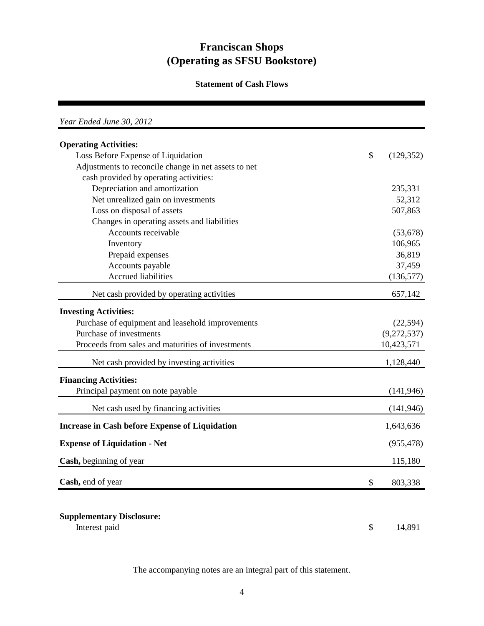## **Statement of Cash Flows**

| Year Ended June 30, 2012                              |               |             |
|-------------------------------------------------------|---------------|-------------|
| <b>Operating Activities:</b>                          |               |             |
| Loss Before Expense of Liquidation                    | $\mathcal{S}$ | (129, 352)  |
| Adjustments to reconcile change in net assets to net  |               |             |
| cash provided by operating activities:                |               |             |
| Depreciation and amortization                         |               | 235,331     |
| Net unrealized gain on investments                    |               | 52,312      |
| Loss on disposal of assets                            |               | 507,863     |
| Changes in operating assets and liabilities           |               |             |
| Accounts receivable                                   |               | (53, 678)   |
| Inventory                                             |               | 106,965     |
| Prepaid expenses                                      |               | 36,819      |
| Accounts payable                                      |               | 37,459      |
| <b>Accrued liabilities</b>                            |               | (136, 577)  |
| Net cash provided by operating activities             |               | 657,142     |
| <b>Investing Activities:</b>                          |               |             |
| Purchase of equipment and leasehold improvements      |               | (22, 594)   |
| Purchase of investments                               |               | (9,272,537) |
| Proceeds from sales and maturities of investments     |               | 10,423,571  |
| Net cash provided by investing activities             |               | 1,128,440   |
| <b>Financing Activities:</b>                          |               |             |
| Principal payment on note payable                     |               | (141, 946)  |
| Net cash used by financing activities                 |               | (141, 946)  |
| <b>Increase in Cash before Expense of Liquidation</b> |               | 1,643,636   |
| <b>Expense of Liquidation - Net</b>                   |               | (955, 478)  |
| Cash, beginning of year                               |               | 115,180     |
| Cash, end of year                                     | \$            | 803,338     |

## **Supplementary Disclosure:**

Interest paid  $\qquad \qquad$  14,891

The accompanying notes are an integral part of this statement.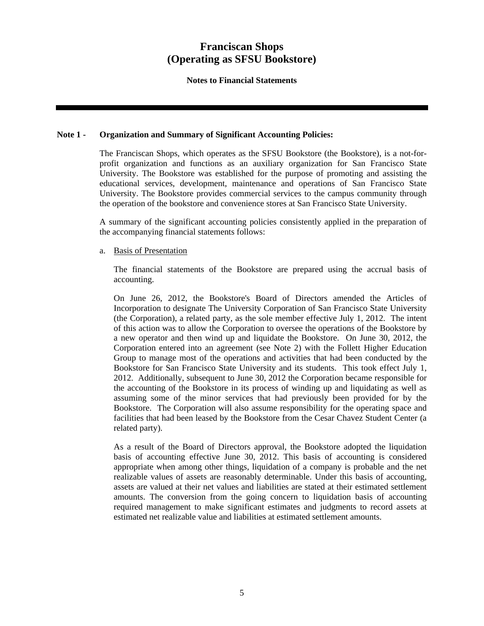**Notes to Financial Statements** 

## **Note 1 - Organization and Summary of Significant Accounting Policies:**

The Franciscan Shops, which operates as the SFSU Bookstore (the Bookstore), is a not-forprofit organization and functions as an auxiliary organization for San Francisco State University. The Bookstore was established for the purpose of promoting and assisting the educational services, development, maintenance and operations of San Francisco State University. The Bookstore provides commercial services to the campus community through the operation of the bookstore and convenience stores at San Francisco State University.

A summary of the significant accounting policies consistently applied in the preparation of the accompanying financial statements follows:

## a. Basis of Presentation

The financial statements of the Bookstore are prepared using the accrual basis of accounting.

On June 26, 2012, the Bookstore's Board of Directors amended the Articles of Incorporation to designate The University Corporation of San Francisco State University (the Corporation), a related party, as the sole member effective July 1, 2012. The intent of this action was to allow the Corporation to oversee the operations of the Bookstore by a new operator and then wind up and liquidate the Bookstore. On June 30, 2012, the Corporation entered into an agreement (see Note 2) with the Follett Higher Education Group to manage most of the operations and activities that had been conducted by the Bookstore for San Francisco State University and its students. This took effect July 1, 2012. Additionally, subsequent to June 30, 2012 the Corporation became responsible for the accounting of the Bookstore in its process of winding up and liquidating as well as assuming some of the minor services that had previously been provided for by the Bookstore. The Corporation will also assume responsibility for the operating space and facilities that had been leased by the Bookstore from the Cesar Chavez Student Center (a related party).

As a result of the Board of Directors approval, the Bookstore adopted the liquidation basis of accounting effective June 30, 2012. This basis of accounting is considered appropriate when among other things, liquidation of a company is probable and the net realizable values of assets are reasonably determinable. Under this basis of accounting, assets are valued at their net values and liabilities are stated at their estimated settlement amounts. The conversion from the going concern to liquidation basis of accounting required management to make significant estimates and judgments to record assets at estimated net realizable value and liabilities at estimated settlement amounts.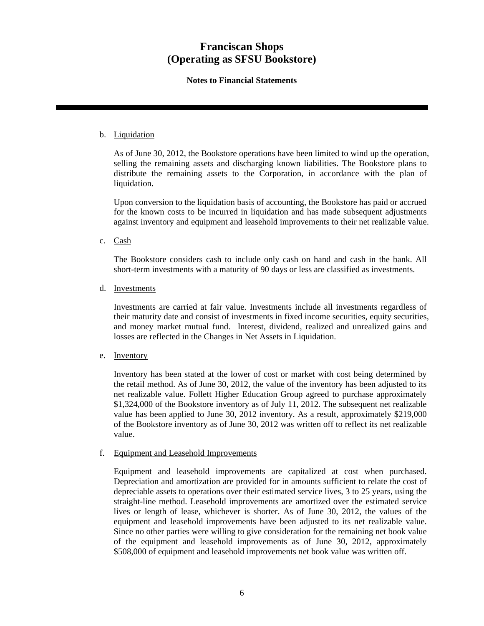## **Notes to Financial Statements**

## b. Liquidation

As of June 30, 2012, the Bookstore operations have been limited to wind up the operation, selling the remaining assets and discharging known liabilities. The Bookstore plans to distribute the remaining assets to the Corporation, in accordance with the plan of liquidation.

Upon conversion to the liquidation basis of accounting, the Bookstore has paid or accrued for the known costs to be incurred in liquidation and has made subsequent adjustments against inventory and equipment and leasehold improvements to their net realizable value.

c. Cash

The Bookstore considers cash to include only cash on hand and cash in the bank. All short-term investments with a maturity of 90 days or less are classified as investments.

d. Investments

Investments are carried at fair value. Investments include all investments regardless of their maturity date and consist of investments in fixed income securities, equity securities, and money market mutual fund. Interest, dividend, realized and unrealized gains and losses are reflected in the Changes in Net Assets in Liquidation.

e. Inventory

Inventory has been stated at the lower of cost or market with cost being determined by the retail method. As of June 30, 2012, the value of the inventory has been adjusted to its net realizable value. Follett Higher Education Group agreed to purchase approximately \$1,324,000 of the Bookstore inventory as of July 11, 2012. The subsequent net realizable value has been applied to June 30, 2012 inventory. As a result, approximately \$219,000 of the Bookstore inventory as of June 30, 2012 was written off to reflect its net realizable value.

### f. Equipment and Leasehold Improvements

Equipment and leasehold improvements are capitalized at cost when purchased. Depreciation and amortization are provided for in amounts sufficient to relate the cost of depreciable assets to operations over their estimated service lives, 3 to 25 years, using the straight-line method. Leasehold improvements are amortized over the estimated service lives or length of lease, whichever is shorter. As of June 30, 2012, the values of the equipment and leasehold improvements have been adjusted to its net realizable value. Since no other parties were willing to give consideration for the remaining net book value of the equipment and leasehold improvements as of June 30, 2012, approximately \$508,000 of equipment and leasehold improvements net book value was written off.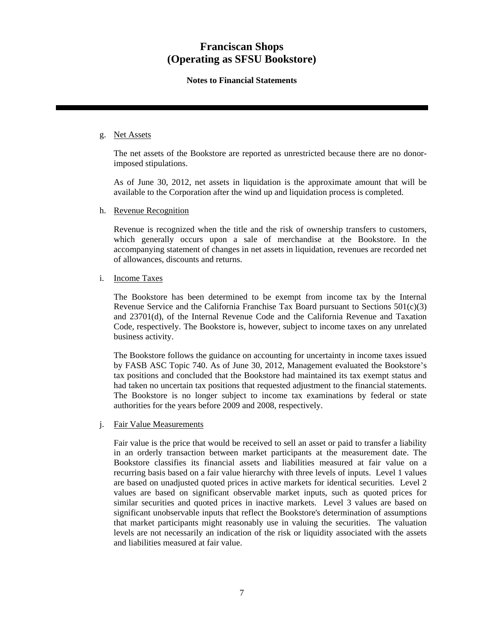## **Notes to Financial Statements**

## g. Net Assets

The net assets of the Bookstore are reported as unrestricted because there are no donorimposed stipulations.

As of June 30, 2012, net assets in liquidation is the approximate amount that will be available to the Corporation after the wind up and liquidation process is completed.

h. Revenue Recognition

Revenue is recognized when the title and the risk of ownership transfers to customers, which generally occurs upon a sale of merchandise at the Bookstore. In the accompanying statement of changes in net assets in liquidation, revenues are recorded net of allowances, discounts and returns.

## i. Income Taxes

The Bookstore has been determined to be exempt from income tax by the Internal Revenue Service and the California Franchise Tax Board pursuant to Sections 501(c)(3) and 23701(d), of the Internal Revenue Code and the California Revenue and Taxation Code, respectively. The Bookstore is, however, subject to income taxes on any unrelated business activity.

The Bookstore follows the guidance on accounting for uncertainty in income taxes issued by FASB ASC Topic 740. As of June 30, 2012, Management evaluated the Bookstore's tax positions and concluded that the Bookstore had maintained its tax exempt status and had taken no uncertain tax positions that requested adjustment to the financial statements. The Bookstore is no longer subject to income tax examinations by federal or state authorities for the years before 2009 and 2008, respectively.

## j. Fair Value Measurements

Fair value is the price that would be received to sell an asset or paid to transfer a liability in an orderly transaction between market participants at the measurement date. The Bookstore classifies its financial assets and liabilities measured at fair value on a recurring basis based on a fair value hierarchy with three levels of inputs. Level 1 values are based on unadjusted quoted prices in active markets for identical securities. Level 2 values are based on significant observable market inputs, such as quoted prices for similar securities and quoted prices in inactive markets. Level 3 values are based on significant unobservable inputs that reflect the Bookstore's determination of assumptions that market participants might reasonably use in valuing the securities. The valuation levels are not necessarily an indication of the risk or liquidity associated with the assets and liabilities measured at fair value.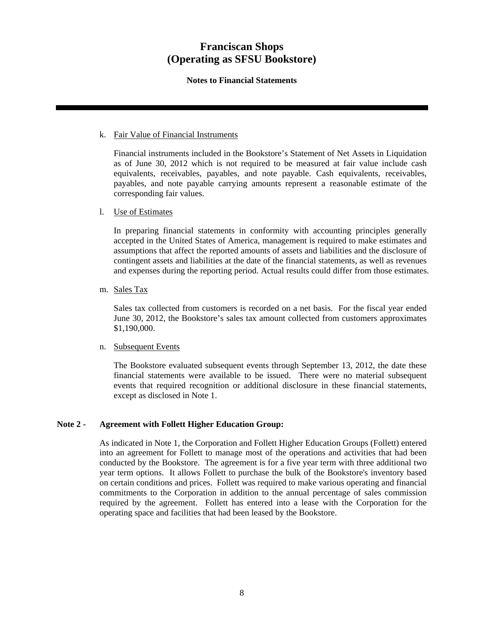## **Notes to Financial Statements**

## k. Fair Value of Financial Instruments

Financial instruments included in the Bookstore's Statement of Net Assets in Liquidation as of June 30, 2012 which is not required to be measured at fair value include cash equivalents, receivables, payables, and note payable. Cash equivalents, receivables, payables, and note payable carrying amounts represent a reasonable estimate of the corresponding fair values.

## l. Use of Estimates

In preparing financial statements in conformity with accounting principles generally accepted in the United States of America, management is required to make estimates and assumptions that affect the reported amounts of assets and liabilities and the disclosure of contingent assets and liabilities at the date of the financial statements, as well as revenues and expenses during the reporting period. Actual results could differ from those estimates.

## m. Sales Tax

Sales tax collected from customers is recorded on a net basis. For the fiscal year ended June 30, 2012, the Bookstore's sales tax amount collected from customers approximates \$1,190,000.

### n. Subsequent Events

The Bookstore evaluated subsequent events through September 13, 2012, the date these financial statements were available to be issued. There were no material subsequent events that required recognition or additional disclosure in these financial statements, except as disclosed in Note 1.

## **Note 2 - Agreement with Follett Higher Education Group:**

As indicated in Note 1, the Corporation and Follett Higher Education Groups (Follett) entered into an agreement for Follett to manage most of the operations and activities that had been conducted by the Bookstore. The agreement is for a five year term with three additional two year term options. It allows Follett to purchase the bulk of the Bookstore's inventory based on certain conditions and prices. Follett was required to make various operating and financial commitments to the Corporation in addition to the annual percentage of sales commission required by the agreement. Follett has entered into a lease with the Corporation for the operating space and facilities that had been leased by the Bookstore.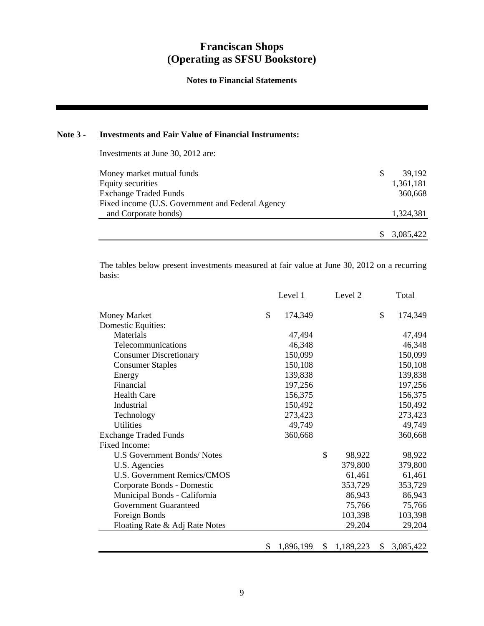**Notes to Financial Statements** 

## **Note 3 - Investments and Fair Value of Financial Instruments:**

Investments at June 30, 2012 are:

| Money market mutual funds                        | S | 39.192    |
|--------------------------------------------------|---|-----------|
| Equity securities                                |   | 1,361,181 |
| <b>Exchange Traded Funds</b>                     |   | 360,668   |
| Fixed income (U.S. Government and Federal Agency |   |           |
| and Corporate bonds)                             |   | 1,324,381 |
|                                                  |   |           |
|                                                  |   | 3,085,422 |

The tables below present investments measured at fair value at June 30, 2012 on a recurring basis:

|                                    | Level 1         | Level 2         | Total           |
|------------------------------------|-----------------|-----------------|-----------------|
| <b>Money Market</b>                | \$<br>174,349   |                 | \$<br>174,349   |
| Domestic Equities:                 |                 |                 |                 |
| Materials                          | 47,494          |                 | 47,494          |
| Telecommunications                 | 46,348          |                 | 46,348          |
| <b>Consumer Discretionary</b>      | 150,099         |                 | 150,099         |
| <b>Consumer Staples</b>            | 150,108         |                 | 150,108         |
| Energy                             | 139,838         |                 | 139,838         |
| Financial                          | 197,256         |                 | 197,256         |
| <b>Health Care</b>                 | 156,375         |                 | 156,375         |
| Industrial                         | 150,492         |                 | 150,492         |
| Technology                         | 273,423         |                 | 273,423         |
| <b>Utilities</b>                   | 49,749          |                 | 49,749          |
| <b>Exchange Traded Funds</b>       | 360,668         |                 | 360,668         |
| Fixed Income:                      |                 |                 |                 |
| U.S Government Bonds/Notes         |                 | \$<br>98,922    | 98,922          |
| U.S. Agencies                      |                 | 379,800         | 379,800         |
| <b>U.S. Government Remics/CMOS</b> |                 | 61,461          | 61,461          |
| Corporate Bonds - Domestic         |                 | 353,729         | 353,729         |
| Municipal Bonds - California       |                 | 86,943          | 86,943          |
| <b>Government Guaranteed</b>       |                 | 75,766          | 75,766          |
| Foreign Bonds                      |                 | 103,398         | 103,398         |
| Floating Rate & Adj Rate Notes     |                 | 29,204          | 29,204          |
|                                    | \$<br>1,896,199 | \$<br>1,189,223 | \$<br>3,085,422 |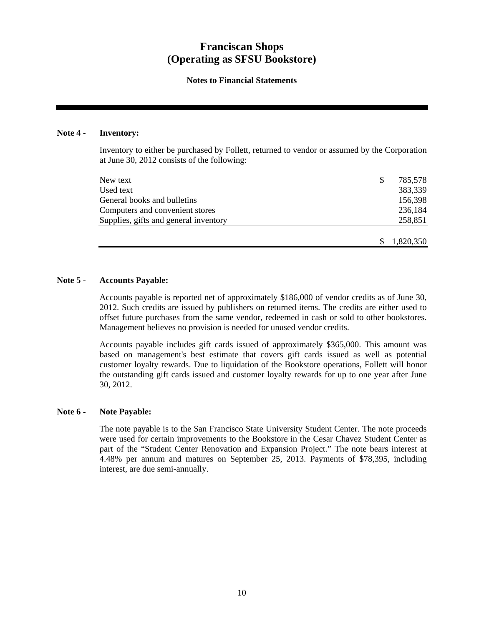## **Notes to Financial Statements**

## **Note 4 - Inventory:**

Inventory to either be purchased by Follett, returned to vendor or assumed by the Corporation at June 30, 2012 consists of the following:

| New text                              | \$<br>785,578 |
|---------------------------------------|---------------|
| Used text                             | 383,339       |
| General books and bulletins           | 156,398       |
| Computers and convenient stores       | 236,184       |
| Supplies, gifts and general inventory | 258,851       |
|                                       |               |
|                                       | 1,820,350     |

## **Note 5 - Accounts Payable:**

Accounts payable is reported net of approximately \$186,000 of vendor credits as of June 30, 2012. Such credits are issued by publishers on returned items. The credits are either used to offset future purchases from the same vendor, redeemed in cash or sold to other bookstores. Management believes no provision is needed for unused vendor credits.

Accounts payable includes gift cards issued of approximately \$365,000. This amount was based on management's best estimate that covers gift cards issued as well as potential customer loyalty rewards. Due to liquidation of the Bookstore operations, Follett will honor the outstanding gift cards issued and customer loyalty rewards for up to one year after June 30, 2012.

### **Note 6 - Note Payable:**

The note payable is to the San Francisco State University Student Center. The note proceeds were used for certain improvements to the Bookstore in the Cesar Chavez Student Center as part of the "Student Center Renovation and Expansion Project." The note bears interest at 4.48% per annum and matures on September 25, 2013. Payments of \$78,395, including interest, are due semi-annually.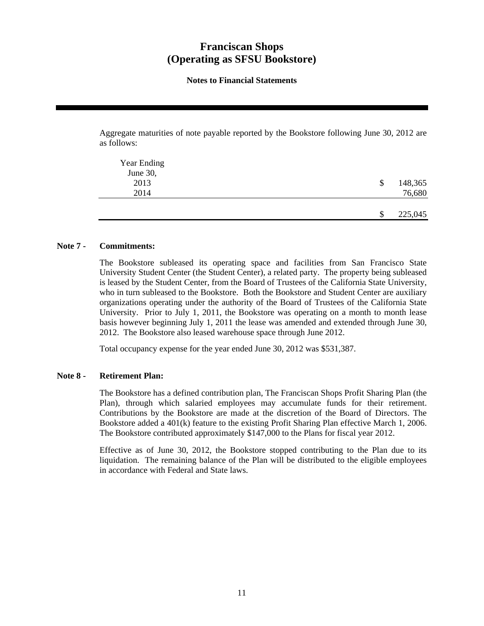## **Notes to Financial Statements**

Aggregate maturities of note payable reported by the Bookstore following June 30, 2012 are as follows:

| Year Ending |               |
|-------------|---------------|
| June 30,    |               |
| 2013        | 148,365<br>\$ |
| 2014        | 76,680        |
|             |               |
|             | 225,045<br>\$ |

### **Note 7 - Commitments:**

The Bookstore subleased its operating space and facilities from San Francisco State University Student Center (the Student Center), a related party. The property being subleased is leased by the Student Center, from the Board of Trustees of the California State University, who in turn subleased to the Bookstore. Both the Bookstore and Student Center are auxiliary organizations operating under the authority of the Board of Trustees of the California State University. Prior to July 1, 2011, the Bookstore was operating on a month to month lease basis however beginning July 1, 2011 the lease was amended and extended through June 30, 2012. The Bookstore also leased warehouse space through June 2012.

Total occupancy expense for the year ended June 30, 2012 was \$531,387.

### **Note 8 - Retirement Plan:**

The Bookstore has a defined contribution plan, The Franciscan Shops Profit Sharing Plan (the Plan), through which salaried employees may accumulate funds for their retirement. Contributions by the Bookstore are made at the discretion of the Board of Directors. The Bookstore added a 401(k) feature to the existing Profit Sharing Plan effective March 1, 2006. The Bookstore contributed approximately \$147,000 to the Plans for fiscal year 2012.

Effective as of June 30, 2012, the Bookstore stopped contributing to the Plan due to its liquidation. The remaining balance of the Plan will be distributed to the eligible employees in accordance with Federal and State laws.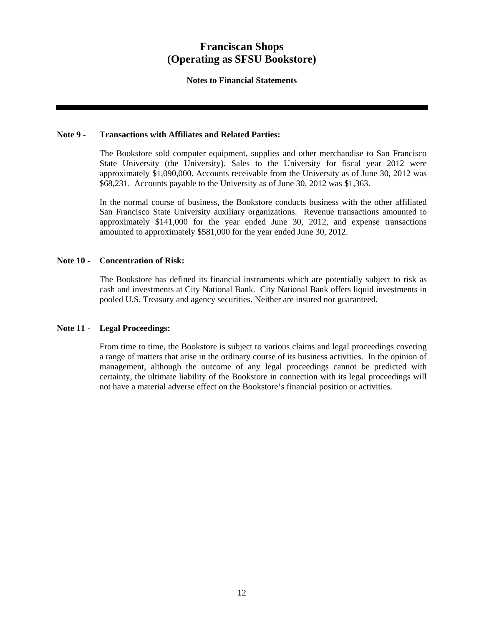### **Notes to Financial Statements**

### **Note 9 - Transactions with Affiliates and Related Parties:**

The Bookstore sold computer equipment, supplies and other merchandise to San Francisco State University (the University). Sales to the University for fiscal year 2012 were approximately \$1,090,000. Accounts receivable from the University as of June 30, 2012 was \$68,231. Accounts payable to the University as of June 30, 2012 was \$1,363.

In the normal course of business, the Bookstore conducts business with the other affiliated San Francisco State University auxiliary organizations. Revenue transactions amounted to approximately \$141,000 for the year ended June 30, 2012, and expense transactions amounted to approximately \$581,000 for the year ended June 30, 2012.

## **Note 10 - Concentration of Risk:**

The Bookstore has defined its financial instruments which are potentially subject to risk as cash and investments at City National Bank. City National Bank offers liquid investments in pooled U.S. Treasury and agency securities. Neither are insured nor guaranteed.

## **Note 11 - Legal Proceedings:**

From time to time, the Bookstore is subject to various claims and legal proceedings covering a range of matters that arise in the ordinary course of its business activities. In the opinion of management, although the outcome of any legal proceedings cannot be predicted with certainty, the ultimate liability of the Bookstore in connection with its legal proceedings will not have a material adverse effect on the Bookstore's financial position or activities.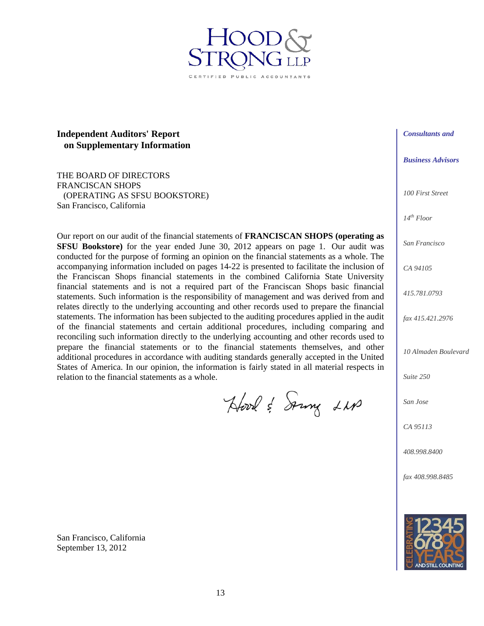## **Independent Auditors' Report on Supplementary Information**

THE BOARD OF DIRECTORS FRANCISCAN SHOPS (OPERATING AS SFSU BOOKSTORE) San Francisco, California

Our report on our audit of the financial statements of **FRANCISCAN SHOPS (operating as SFSU Bookstore)** for the year ended June 30, 2012 appears on page 1. Our audit was conducted for the purpose of forming an opinion on the financial statements as a whole. The accompanying information included on pages 14-22 is presented to facilitate the inclusion of the Franciscan Shops financial statements in the combined California State University financial statements and is not a required part of the Franciscan Shops basic financial statements. Such information is the responsibility of management and was derived from and relates directly to the underlying accounting and other records used to prepare the financial statements. The information has been subjected to the auditing procedures applied in the audit of the financial statements and certain additional procedures, including comparing and reconciling such information directly to the underlying accounting and other records used to prepare the financial statements or to the financial statements themselves, and other additional procedures in accordance with auditing standards generally accepted in the United States of America. In our opinion, the information is fairly stated in all material respects in relation to the financial statements as a whole.

Hood & Soung LM

*Consultants and* 

*Business Advisors* 

*100 First Street* 

*14th Floor* 

*San Francisco* 

*CA 94105* 

*415.781.0793* 

*fax 415.421.2976* 

*10 Almaden Boulevard* 

*Suite 250* 

*San Jose* 

*CA 95113* 

*408.998.8400* 

*fax 408.998.8485* 



San Francisco, California September 13, 2012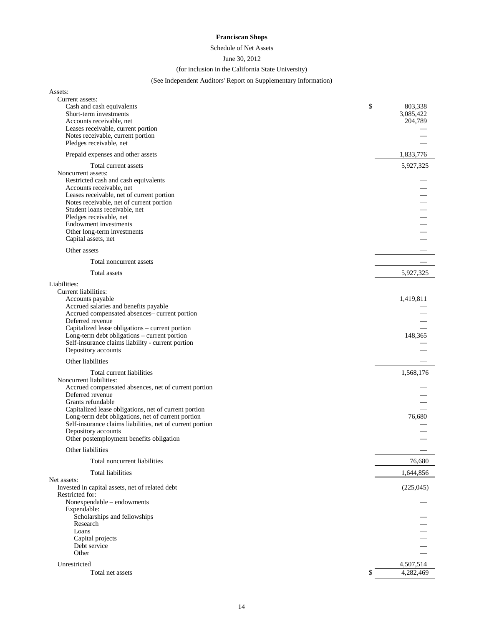Schedule of Net Assets

#### June 30, 2012

#### (for inclusion in the California State University)

## (See Independent Auditors' Report on Supplementary Information)

| Assets:                                                        |                 |
|----------------------------------------------------------------|-----------------|
| Current assets:                                                |                 |
| Cash and cash equivalents                                      | \$<br>803,338   |
| Short-term investments                                         | 3,085,422       |
| Accounts receivable, net<br>Leases receivable, current portion | 204,789         |
| Notes receivable, current portion                              |                 |
| Pledges receivable, net                                        |                 |
|                                                                |                 |
| Prepaid expenses and other assets                              | 1,833,776       |
| Total current assets                                           | 5,927,325       |
| Noncurrent assets:                                             |                 |
| Restricted cash and cash equivalents                           |                 |
| Accounts receivable, net                                       |                 |
| Leases receivable, net of current portion                      |                 |
| Notes receivable, net of current portion                       |                 |
| Student loans receivable, net                                  |                 |
| Pledges receivable, net                                        |                 |
| Endowment investments                                          |                 |
| Other long-term investments                                    |                 |
| Capital assets, net                                            |                 |
| Other assets                                                   |                 |
| Total noncurrent assets                                        |                 |
| Total assets                                                   | 5,927,325       |
| Liabilities:                                                   |                 |
| Current liabilities:                                           |                 |
| Accounts payable                                               | 1,419,811       |
| Accrued salaries and benefits payable                          |                 |
| Accrued compensated absences-current portion                   |                 |
| Deferred revenue                                               |                 |
| Capitalized lease obligations - current portion                |                 |
| Long-term debt obligations - current portion                   | 148,365         |
| Self-insurance claims liability - current portion              |                 |
| Depository accounts                                            |                 |
| Other liabilities                                              |                 |
| Total current liabilities                                      | 1,568,176       |
| Noncurrent liabilities:                                        |                 |
| Accrued compensated absences, net of current portion           |                 |
| Deferred revenue                                               |                 |
| Grants refundable                                              |                 |
| Capitalized lease obligations, net of current portion          |                 |
| Long-term debt obligations, net of current portion             | 76,680          |
| Self-insurance claims liabilities, net of current portion      |                 |
| Depository accounts                                            |                 |
| Other postemployment benefits obligation                       |                 |
| Other liabilities                                              |                 |
| Total noncurrent liabilities                                   | 76,680          |
| Total liabilities                                              | 1,644,856       |
| Net assets:<br>Invested in capital assets, net of related debt |                 |
| Restricted for:                                                | (225, 045)      |
| Nonexpendable - endowments                                     |                 |
| Expendable:                                                    |                 |
| Scholarships and fellowships                                   |                 |
| Research                                                       |                 |
| Loans                                                          |                 |
| Capital projects                                               |                 |
| Debt service                                                   |                 |
| Other                                                          |                 |
| Unrestricted                                                   | 4,507,514       |
| Total net assets                                               | \$<br>4,282,469 |
|                                                                |                 |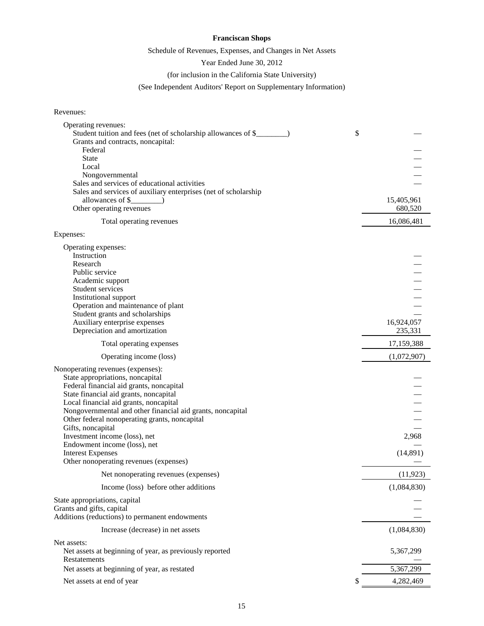## Schedule of Revenues, Expenses, and Changes in Net Assets

Year Ended June 30, 2012

(for inclusion in the California State University)

(See Independent Auditors' Report on Supplementary Information)

### Revenues:

| Operating revenues:<br>Student tuition and fees (net of scholarship allowances of \$_<br>Grants and contracts, noncapital: | \$ |             |
|----------------------------------------------------------------------------------------------------------------------------|----|-------------|
| Federal                                                                                                                    |    |             |
| <b>State</b>                                                                                                               |    |             |
| Local                                                                                                                      |    |             |
| Nongovernmental<br>Sales and services of educational activities                                                            |    |             |
| Sales and services of auxiliary enterprises (net of scholarship                                                            |    |             |
| allowances of \$                                                                                                           |    | 15,405,961  |
| Other operating revenues                                                                                                   |    | 680,520     |
| Total operating revenues                                                                                                   |    | 16,086,481  |
| Expenses:                                                                                                                  |    |             |
| Operating expenses:                                                                                                        |    |             |
| Instruction                                                                                                                |    |             |
| Research                                                                                                                   |    |             |
| Public service                                                                                                             |    |             |
| Academic support<br>Student services                                                                                       |    |             |
| Institutional support                                                                                                      |    |             |
| Operation and maintenance of plant                                                                                         |    |             |
| Student grants and scholarships                                                                                            |    |             |
| Auxiliary enterprise expenses                                                                                              |    | 16,924,057  |
| Depreciation and amortization                                                                                              |    | 235,331     |
| Total operating expenses                                                                                                   |    | 17,159,388  |
| Operating income (loss)                                                                                                    |    | (1,072,907) |
| Nonoperating revenues (expenses):                                                                                          |    |             |
| State appropriations, noncapital                                                                                           |    |             |
| Federal financial aid grants, noncapital                                                                                   |    |             |
| State financial aid grants, noncapital<br>Local financial aid grants, noncapital                                           |    |             |
| Nongovernmental and other financial aid grants, noncapital                                                                 |    |             |
| Other federal nonoperating grants, noncapital                                                                              |    |             |
| Gifts, noncapital                                                                                                          |    |             |
| Investment income (loss), net                                                                                              |    | 2,968       |
| Endowment income (loss), net                                                                                               |    |             |
| <b>Interest Expenses</b>                                                                                                   |    | (14, 891)   |
| Other nonoperating revenues (expenses)                                                                                     |    |             |
| Net nonoperating revenues (expenses)                                                                                       |    | (11, 923)   |
| Income (loss) before other additions                                                                                       |    | (1,084,830) |
| State appropriations, capital                                                                                              |    |             |
| Grants and gifts, capital<br>Additions (reductions) to permanent endowments                                                |    |             |
|                                                                                                                            |    |             |
| Increase (decrease) in net assets                                                                                          |    | (1,084,830) |
| Net assets:<br>Net assets at beginning of year, as previously reported                                                     |    | 5,367,299   |
| Restatements                                                                                                               |    |             |
| Net assets at beginning of year, as restated                                                                               |    | 5,367,299   |
| Net assets at end of year                                                                                                  | S  | 4,282,469   |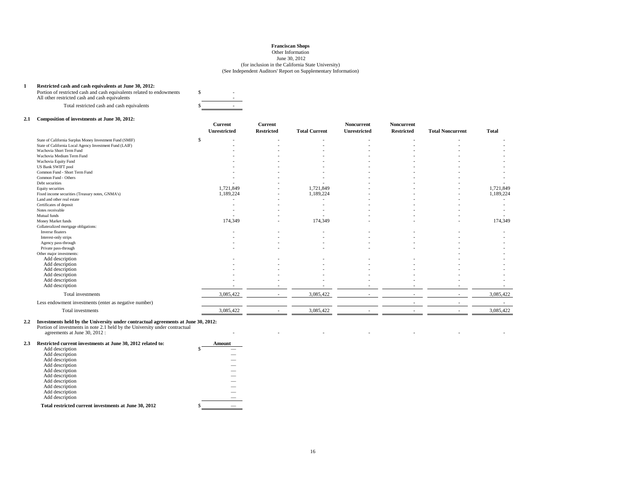#### Other Information

June 30, 2012

#### (for inclusion in the California State University) (See Independent Auditors' Report on Supplementary Information)

#### **1 Restricted cash and cash equivalents at June 30, 2012:**

Portion of restricted cash and cash equivalents related to endowments  $\sim$  5

| Total restricted cash and cash equivalents |  |  |
|--------------------------------------------|--|--|
|                                            |  |  |

#### **2.1 Composition of investments at June 30, 2012:**

|                                                          | Current      | Current             |                      | <b>Noncurrent</b> | <b>Noncurrent</b> |                          |              |
|----------------------------------------------------------|--------------|---------------------|----------------------|-------------------|-------------------|--------------------------|--------------|
|                                                          | Unrestricted | <b>Restricted</b>   | <b>Total Current</b> | Unrestricted      | <b>Restricted</b> | <b>Total Noncurrent</b>  | <b>Total</b> |
| State of California Surplus Money Investment Fund (SMIF) | \$           |                     |                      |                   |                   |                          |              |
| State of California Local Agency Investment Fund (LAIF)  |              |                     |                      |                   |                   |                          |              |
| Wachovia Short Term Fund                                 |              |                     |                      |                   |                   |                          |              |
| Wachovia Medium Term Fund                                |              |                     |                      |                   |                   |                          |              |
| Wachovia Equity Fund                                     |              |                     |                      |                   |                   |                          |              |
| <b>US Bank SWIFT pool</b>                                |              |                     |                      |                   |                   |                          |              |
| Common Fund - Short Term Fund                            |              |                     |                      |                   |                   |                          |              |
| Common Fund - Others                                     |              |                     |                      |                   |                   |                          |              |
| Debt securities                                          |              |                     |                      |                   |                   |                          |              |
| Equity securities                                        |              | 1,721,849           | 1,721,849            |                   |                   |                          | 1,721,849    |
| Fixed income securities (Treasury notes, GNMA's)         |              | 1,189,224<br>$\sim$ | 1,189,224            |                   |                   | $\sim$                   | 1,189,224    |
| Land and other real estate                               |              |                     |                      |                   |                   |                          |              |
| Certificates of deposit                                  |              |                     |                      |                   |                   |                          |              |
| Notes receivable                                         |              |                     |                      |                   |                   |                          |              |
| Mutual funds                                             |              |                     |                      |                   |                   |                          |              |
| Money Market funds                                       |              | 174,349             | 174,349              |                   |                   |                          | 174,349      |
| Collateralized mortgage obligations:                     |              |                     |                      |                   |                   |                          |              |
| Inverse floaters                                         |              |                     |                      |                   |                   |                          |              |
| Interest-only strips                                     |              |                     |                      |                   |                   |                          |              |
| Agency pass-through                                      |              |                     |                      |                   |                   |                          |              |
| Private pass-through                                     |              |                     |                      |                   |                   |                          |              |
| Other major investments:                                 |              |                     |                      |                   |                   |                          |              |
| Add description                                          |              |                     |                      |                   |                   |                          |              |
| Add description                                          |              |                     |                      |                   |                   |                          |              |
| Add description                                          |              |                     |                      |                   |                   |                          |              |
| Add description                                          |              |                     |                      |                   |                   |                          |              |
| Add description                                          |              |                     |                      |                   |                   |                          |              |
| Add description                                          |              |                     |                      |                   |                   |                          |              |
| Total investments                                        |              | 3,085,422<br>$\sim$ | 3,085,422            | ٠                 | $\sim$            | ٠                        | 3,085,422    |
| Less endowment investments (enter as negative number)    |              |                     |                      |                   |                   |                          |              |
| Total investments                                        |              | 3,085,422           | 3,085,422            |                   |                   | $\overline{\phantom{a}}$ | 3,085,422    |

**OK** 

#### **2.2 Investments held by the University under contractual agreements at June 30, 2012:**

Portion of investments in note 2.1 held by the University under contractual

agreements at June 30, 2012 :e de la construcción de la construcción de la construcción de la construcción de la construcción de la constru

| 2.3 | Restricted current investments at June 30, 2012 related to: | Amount |
|-----|-------------------------------------------------------------|--------|
|     | Add description                                             |        |
|     | Add description                                             |        |
|     | Add description                                             |        |
|     | Add description                                             |        |
|     | Add description                                             |        |
|     | Add description                                             |        |
|     | Add description                                             |        |
|     | Add description                                             |        |
|     | Add description                                             |        |
|     | Add description                                             |        |
|     | Total restricted current investments at June 30, 2012       |        |
|     |                                                             |        |

- - - - - -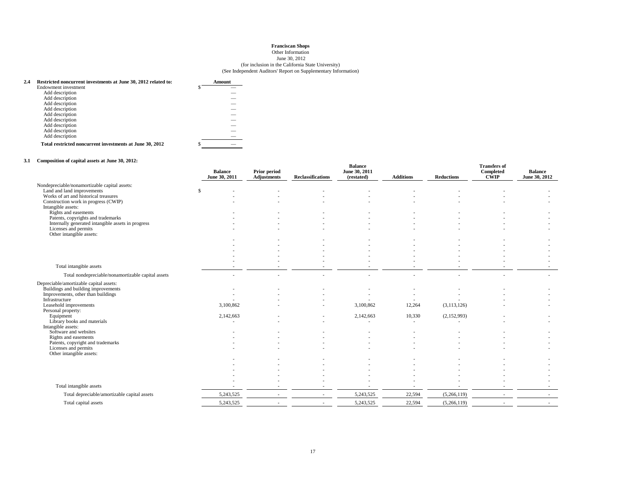#### Other Information

#### June 30, 2012

#### (for inclusion in the California State University) (See Independent Auditors' Report on Supplementary Information)

| 2.4 | Restricted noncurrent investments at June 30, 2012 related to: | Amount |
|-----|----------------------------------------------------------------|--------|
|     | Endowment investment                                           |        |
|     | Add description                                                |        |
|     | Add description                                                |        |
|     | Add description                                                |        |
|     | Add description                                                |        |
|     | Add description                                                |        |
|     | Add description                                                |        |
|     | Add description                                                |        |
|     | Add description                                                |        |
|     | Add description                                                |        |
|     | Total restricted noncurrent investments at June 30, 2012       |        |

#### **3.1 Composition of capital assets at June 30, 2012:**

|                                                            | <b>Balance</b><br>June 30, 2011 | Prior period<br><b>Adjustments</b> | <b>Reclassifications</b> | <b>Balance</b><br>June 30, 2011<br>(restated) | <b>Additions</b> | <b>Reductions</b> | <b>Transfers of</b><br>Completed<br>CŴIP | <b>Balance</b><br>June 30, 2012 |
|------------------------------------------------------------|---------------------------------|------------------------------------|--------------------------|-----------------------------------------------|------------------|-------------------|------------------------------------------|---------------------------------|
| Nondepreciable/nonamortizable capital assets:              |                                 |                                    |                          |                                               |                  |                   |                                          |                                 |
| Land and land improvements                                 | \$                              |                                    |                          |                                               |                  |                   |                                          |                                 |
| Works of art and historical treasures                      |                                 |                                    |                          |                                               |                  |                   |                                          |                                 |
| Construction work in progress (CWIP)<br>Intangible assets: |                                 |                                    |                          |                                               |                  |                   |                                          |                                 |
| Rights and easements                                       |                                 |                                    |                          |                                               |                  |                   |                                          |                                 |
| Patents, copyrights and trademarks                         |                                 |                                    |                          |                                               |                  |                   |                                          |                                 |
| Internally generated intangible assets in progress         |                                 |                                    |                          |                                               |                  |                   |                                          |                                 |
| Licenses and permits                                       |                                 |                                    |                          |                                               |                  |                   |                                          |                                 |
| Other intangible assets:                                   |                                 |                                    |                          |                                               |                  |                   |                                          |                                 |
|                                                            |                                 |                                    |                          |                                               |                  |                   |                                          |                                 |
|                                                            |                                 |                                    |                          |                                               |                  |                   |                                          |                                 |
|                                                            |                                 |                                    |                          |                                               |                  |                   |                                          |                                 |
|                                                            |                                 |                                    |                          |                                               |                  |                   |                                          |                                 |
| Total intangible assets                                    |                                 |                                    |                          |                                               |                  |                   |                                          |                                 |
| Total nondepreciable/nonamortizable capital assets         |                                 |                                    |                          |                                               |                  |                   |                                          | ٠                               |
| Depreciable/amortizable capital assets:                    |                                 |                                    |                          |                                               |                  |                   |                                          |                                 |
| Buildings and building improvements                        |                                 |                                    |                          |                                               |                  |                   |                                          |                                 |
| Improvements, other than buildings                         |                                 |                                    |                          |                                               |                  |                   |                                          |                                 |
| Infrastructure<br>Leasehold improvements                   | 3,100,862                       |                                    |                          | 3,100,862                                     | 12,264           | (3,113,126)       |                                          |                                 |
| Personal property:                                         |                                 |                                    |                          |                                               |                  |                   |                                          |                                 |
| Equipment                                                  | 2,142,663                       |                                    |                          | 2,142,663                                     | 10,330           | (2,152,993)       |                                          |                                 |
| Library books and materials                                |                                 |                                    |                          |                                               |                  |                   |                                          |                                 |
| Intangible assets:                                         |                                 |                                    |                          |                                               |                  |                   |                                          |                                 |
| Software and websites                                      |                                 |                                    |                          |                                               |                  |                   |                                          |                                 |
| Rights and easements<br>Patents, copyright and trademarks  |                                 |                                    |                          |                                               |                  |                   |                                          |                                 |
| Licenses and permits                                       |                                 |                                    |                          |                                               |                  |                   |                                          |                                 |
| Other intangible assets:                                   |                                 |                                    |                          |                                               |                  |                   |                                          |                                 |
|                                                            |                                 |                                    |                          |                                               |                  |                   |                                          |                                 |
|                                                            |                                 |                                    |                          |                                               |                  |                   |                                          |                                 |
|                                                            |                                 |                                    |                          |                                               |                  |                   |                                          |                                 |
|                                                            |                                 |                                    |                          |                                               |                  |                   |                                          |                                 |
| Total intangible assets                                    |                                 |                                    |                          |                                               |                  |                   |                                          |                                 |
| Total depreciable/amortizable capital assets               | 5,243,525                       |                                    |                          | 5,243,525                                     | 22,594           | (5,266,119)       |                                          |                                 |
| Total capital assets                                       | 5,243,525                       | $\sim$                             |                          | 5,243,525                                     | 22,594           | (5,266,119)       |                                          |                                 |
|                                                            |                                 |                                    |                          |                                               |                  |                   |                                          |                                 |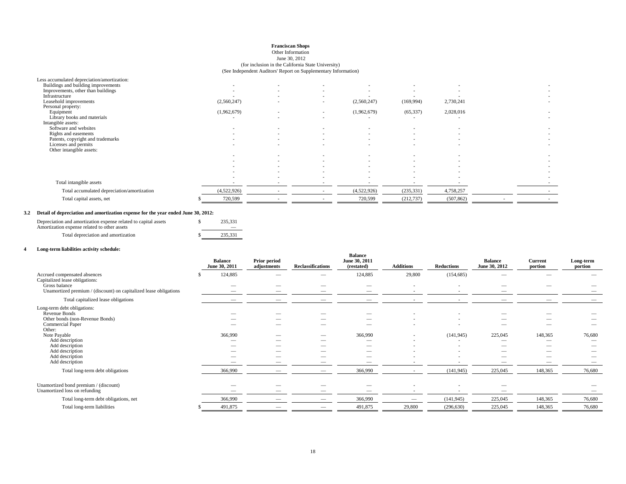#### Other Information

#### (for inclusion in the California State University) (See Independent Auditors' Report on Supplementary Information)June 30, 2012

|                                             |             |        | -- |             |            |           |  |
|---------------------------------------------|-------------|--------|----|-------------|------------|-----------|--|
| Less accumulated depreciation/amortization: |             |        |    |             |            |           |  |
| Buildings and building improvements         |             |        |    |             |            |           |  |
| Improvements, other than buildings          | $\sim$      |        |    |             |            |           |  |
| Infrastructure                              | $\sim$      |        |    |             |            |           |  |
| Leasehold improvements                      | (2,560,247) |        |    | (2,560,247) | (169, 994) | 2,730,241 |  |
| Personal property:                          |             |        |    |             |            |           |  |
| Equipment                                   | (1,962,679) |        |    | (1,962,679) | (65, 337)  | 2,028,016 |  |
| Library books and materials                 | $\sim$      | $\sim$ |    | $\sim$      |            | $\sim$    |  |
| Intangible assets:                          |             |        |    |             |            |           |  |
| Software and websites                       |             | $\sim$ |    |             |            |           |  |
| Rights and easements                        | $\sim$      |        |    |             |            |           |  |
| Patents, copyright and trademarks           | $\sim$      |        |    |             |            |           |  |
| Licenses and permits                        |             | ٠      |    |             |            |           |  |

Total accumulated depreciation/amortization (4,522,926) (235,331) 4,758,257 (4,522,926) (235,331) 4,758,257

- - - - - - - Other intangible assets:

- - - - - - -

**OK**

\$ 720,599 - - 720,599 (212,737) (507,862) - -

 - - - - - - - - - - - - - - - - - - - - - - - - - - - - - -

**OK OK**

-

#### **3.2 Detail of depreciation and amortization expense for the year ended June 30, 2012:**

| Depreciation and amortization expense related to capital assets<br>Amortization expense related to other assets | 235.331 |  |
|-----------------------------------------------------------------------------------------------------------------|---------|--|
| Total depreciation and amortization                                                                             | 235.331 |  |

#### **4 Long-term liabilities activity schedule:**

Total intangible assets

Total capital assets, net

|                                                                                    | <b>Balance</b><br>June 30, 2011 | <b>Prior period</b><br>adjustments | <b>Reclassifications</b> | <b>Balance</b><br>June 30, 2011<br>(restated) | <b>Additions</b> | <b>Reductions</b> | <b>Balance</b><br>June 30, 2012                      | <b>Current</b><br>portion | Long-term<br>portion |
|------------------------------------------------------------------------------------|---------------------------------|------------------------------------|--------------------------|-----------------------------------------------|------------------|-------------------|------------------------------------------------------|---------------------------|----------------------|
| Accrued compensated absences<br>Capitalized lease obligations:                     | 124,885                         |                                    |                          | 124,885                                       | 29,800           | (154, 685)        | $\overline{\phantom{a}}$                             |                           |                      |
| Gross balance<br>Unamortized premium / (discount) on capitalized lease obligations |                                 |                                    |                          | -                                             |                  |                   | --                                                   |                           |                      |
| Total capitalized lease obligations                                                |                                 |                                    |                          |                                               |                  |                   |                                                      |                           |                      |
| Long-term debt obligations:<br>Revenue Bonds                                       |                                 |                                    |                          |                                               |                  |                   |                                                      |                           |                      |
| Other bonds (non-Revenue Bonds)<br>Commercial Paper<br>Other:                      |                                 |                                    |                          |                                               |                  |                   |                                                      |                           |                      |
| Note Payable                                                                       | 366,990                         | $\overline{\phantom{a}}$           |                          | 366,990                                       |                  | (141, 945)        | 225,045                                              | 148,365                   | 76,680               |
| Add description<br>Add description<br>Add description<br>Add description           | $\overline{\phantom{a}}$        | $\overline{\phantom{a}}$           | -                        | -                                             |                  |                   | $\overline{\phantom{a}}$<br>$\overline{\phantom{a}}$ | --<br>__                  |                      |
| Add description<br>Total long-term debt obligations                                | 366,990                         | $\qquad \qquad$                    |                          | 366,990                                       |                  | (141, 945)        | --<br>225,045                                        | 148,365                   | 76,680               |
| Unamortized bond premium / (discount)<br>Unamortized loss on refunding             |                                 |                                    |                          |                                               |                  |                   |                                                      |                           |                      |
| Total long-term debt obligations, net                                              | 366,990                         |                                    |                          | 366,990                                       |                  | (141, 945)        | 225,045                                              | 148,365                   | 76,680               |
| Total long-term liabilities                                                        | 491,875                         |                                    |                          | 491,875                                       | 29,800           | (296, 630)        | 225,045                                              | 148,365                   | 76,680               |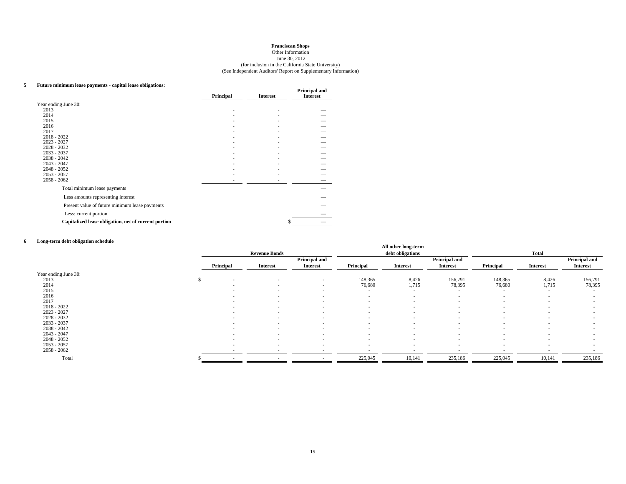#### (for inclusion in the California State University) Other Information June 30, 2012 (See Independent Auditors' Report on Supplementary Information)

#### **5 Future minimum lease payments - capital lease obligations:**

|                                                      | Principal | <b>Interest</b> | Principal and<br><b>Interest</b> |
|------------------------------------------------------|-----------|-----------------|----------------------------------|
| Year ending June 30:                                 |           |                 |                                  |
| 2013                                                 | ۰         |                 |                                  |
| 2014                                                 |           |                 |                                  |
| 2015                                                 |           |                 |                                  |
| 2016                                                 |           |                 |                                  |
| 2017                                                 |           |                 |                                  |
| $2018 - 2022$                                        |           |                 |                                  |
| $2023 - 2027$<br>$2028 - 2032$                       |           |                 |                                  |
| $2033 - 2037$                                        |           |                 |                                  |
| $2038 - 2042$                                        |           |                 |                                  |
| $2043 - 2047$                                        |           |                 |                                  |
| $2048 - 2052$                                        |           |                 |                                  |
| $2053 - 2057$                                        |           |                 |                                  |
| $2058 - 2062$                                        |           |                 |                                  |
| Total minimum lease payments                         |           |                 |                                  |
| Less amounts representing interest                   |           |                 |                                  |
| Present value of future minimum lease payments       |           |                 |                                  |
| Less: current portion                                |           |                 |                                  |
| Capitalized lease obligation, net of current portion |           |                 | S                                |

#### **6Long-term debt obligation schedule**

| Long-term debt obligation schedule |           |                          |                 |                          | All other long-term |                          |                          |                 |                          |
|------------------------------------|-----------|--------------------------|-----------------|--------------------------|---------------------|--------------------------|--------------------------|-----------------|--------------------------|
|                                    |           | <b>Revenue Bonds</b>     |                 |                          | debt obligations    |                          |                          | <b>Total</b>    |                          |
|                                    |           |                          | Principal and   |                          |                     | Principal and            |                          |                 | Principal and            |
|                                    | Principal | <b>Interest</b>          | <b>Interest</b> | Principal                | <b>Interest</b>     | <b>Interest</b>          | Principal                | <b>Interest</b> | <b>Interest</b>          |
| Year ending June 30:               |           |                          |                 |                          |                     |                          |                          |                 |                          |
| 2013                               | $\sim$    | $\sim$                   | $\sim$          | 148,365                  | 8,426               | 156,791                  | 148,365                  | 8,426           | 156,791                  |
| 2014                               |           | $\overline{\phantom{a}}$ | $\sim$          | 76,680                   | 1,715               | 78,395                   | 76,680                   | 1,715           | 78,395                   |
| 2015                               |           | $\sim$                   | $\sim$          | $\overline{\phantom{a}}$ | <b>COL</b>          | $\sim$                   | $\overline{\phantom{a}}$ |                 | $\sim$                   |
| 2016                               |           | $\sim$                   | $\sim$          | $\overline{\phantom{a}}$ | <b>COL</b>          | $\overline{\phantom{a}}$ | $\overline{\phantom{a}}$ | <b>COL</b>      | $\sim$                   |
| 2017                               |           | $\overline{\phantom{a}}$ | $\sim$          | $\overline{\phantom{a}}$ | <b>COL</b>          | $\sim$                   | $\overline{\phantom{a}}$ |                 | $\sim$                   |
| $2018 - 2022$                      | $\sim$    | $\overline{\phantom{a}}$ | $\sim$          | $\overline{\phantom{a}}$ | <b>COL</b>          | $\sim$                   | $\overline{\phantom{a}}$ |                 | $\overline{\phantom{a}}$ |
| $2023 - 2027$                      |           | $\overline{\phantom{a}}$ | $\sim$          | $\sim$                   | <b>COL</b>          | $\sim$                   | $\overline{\phantom{a}}$ | <b>COL</b>      | $\sim$                   |
| $2028 - 2032$                      |           | $\overline{\phantom{a}}$ | $\sim$          | $\overline{\phantom{a}}$ | <b>COL</b>          | $\sim$                   | $\overline{\phantom{a}}$ |                 | $\sim$                   |
| $2033 - 2037$                      |           | $\sim$                   | $\sim$          | $\overline{\phantom{a}}$ | <b>COL</b>          | $\overline{\phantom{a}}$ | $\overline{\phantom{a}}$ |                 | $\overline{\phantom{a}}$ |
| $2038 - 2042$                      |           | $\sim$                   | $\sim$          | $\overline{\phantom{a}}$ | <b>COL</b>          | $\overline{\phantom{a}}$ | $\overline{\phantom{a}}$ |                 | $\sim$                   |
| $2043 - 2047$                      | $\sim$    | $\overline{\phantom{a}}$ | $\sim$          | $\overline{\phantom{a}}$ | <b>COL</b>          | $\sim$                   | $\overline{\phantom{a}}$ | <b>COL</b>      | $\sim$                   |
| $2048 - 2052$                      | $\sim$    | . .                      | $\sim$          | $\overline{\phantom{a}}$ |                     | $\sim$                   | $\overline{\phantom{a}}$ |                 | $\sim$                   |
| $2053 - 2057$                      |           | $\sim$                   | $\sim$          | $\overline{\phantom{a}}$ | <b>COL</b>          | $\overline{\phantom{a}}$ | $\overline{\phantom{a}}$ |                 | $\sim$                   |
| $2058 - 2062$                      |           |                          |                 |                          |                     |                          |                          |                 |                          |
| Total                              |           |                          |                 | 225,045                  | 10,141              | 235,186                  | 225,045                  | 10,141          | 235,186                  |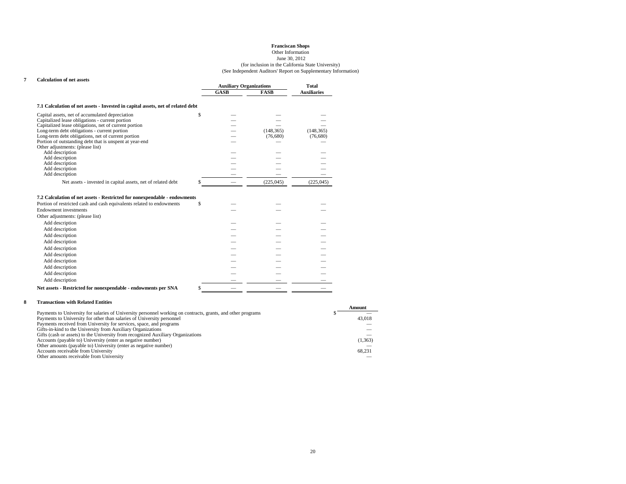#### Other InformationJune 30, 2012

#### (for inclusion in the California State University) (See Independent Auditors' Report on Supplementary Information)

#### **7 Calculation of net assets**

|                                                                                 |      | <b>Auxiliary Organizations</b> |                    |  |
|---------------------------------------------------------------------------------|------|--------------------------------|--------------------|--|
|                                                                                 | GASB | <b>FASB</b>                    | <b>Auxiliaries</b> |  |
| 7.1 Calculation of net assets - Invested in capital assets, net of related debt |      |                                |                    |  |
| Capital assets, net of accumulated depreciation                                 |      |                                |                    |  |
| Capitalized lease obligations - current portion                                 |      |                                |                    |  |
| Capitalized lease obligations, net of current portion                           |      |                                |                    |  |
| Long-term debt obligations - current portion                                    |      | (148, 365)                     | (148, 365)         |  |
| Long-term debt obligations, net of current portion                              |      | (76,680)                       | (76,680)           |  |
| Portion of outstanding debt that is unspent at year-end                         |      |                                |                    |  |
| Other adjustments: (please list)                                                |      |                                |                    |  |
| Add description                                                                 |      |                                |                    |  |
| Add description                                                                 |      |                                |                    |  |
| Add description                                                                 |      |                                |                    |  |
| Add description                                                                 |      |                                |                    |  |
| Add description                                                                 |      |                                |                    |  |
| Net assets - invested in capital assets, net of related debt                    |      | (225, 045)                     | (225, 045)         |  |

#### **7.2 Calculation of net assets - Restricted for nonexpendable - endowments**

| Portion of restricted cash and cash equivalents related to endowments | J. |  |  |
|-----------------------------------------------------------------------|----|--|--|
| Endowment investments                                                 |    |  |  |
| Other adjustments: (please list)                                      |    |  |  |
| Add description                                                       |    |  |  |
| Add description                                                       |    |  |  |
| Add description                                                       |    |  |  |
| Add description                                                       |    |  |  |
| Add description                                                       |    |  |  |
| Add description                                                       |    |  |  |
| Add description                                                       |    |  |  |
| Add description                                                       |    |  |  |
| Add description                                                       |    |  |  |
| Add description                                                       |    |  |  |
| Net assets - Restricted for nonexpendable - endowments per SNA        |    |  |  |

#### **8 Transactions with Related Entities**

|                                                                                                              | Amount  |
|--------------------------------------------------------------------------------------------------------------|---------|
| Payments to University for salaries of University personnel working on contracts, grants, and other programs |         |
| Payments to University for other than salaries of University personnel                                       | 43,018  |
| Payments received from University for services, space, and programs                                          |         |
| Gifts-in-kind to the University from Auxiliary Organizations                                                 |         |
| Gifts (cash or assets) to the University from recognized Auxiliary Organizations                             |         |
| Accounts (payable to) University (enter as negative number)                                                  | (1,363) |
| Other amounts (payable to) University (enter as negative number)                                             |         |
| Accounts receivable from University                                                                          | 68.231  |
| Other amounts receivable from University                                                                     |         |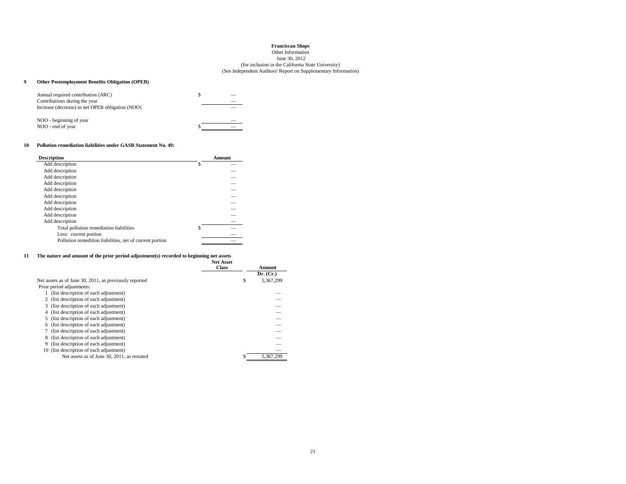#### Other InformationJune 30, 2012

#### (for inclusion in the California State University) (See Independent Auditors' Report on Supplementary Information)

#### **9 Other Postemployment Benefits Obligation (OPEB)**

| Annual required contribution (ARC)               |  |
|--------------------------------------------------|--|
| Contributions during the year                    |  |
| Increase (decrease) in net OPEB obligation (NOO) |  |
| NOO - beginning of year                          |  |
| NOO - end of year                                |  |

#### **10 Pollution remediation liabilities under GASB Statement No. 49:**

| <b>Description</b>                                       |   | Amount |
|----------------------------------------------------------|---|--------|
| Add description                                          | S |        |
| Add description                                          |   |        |
| Add description                                          |   |        |
| Add description                                          |   |        |
| Add description                                          |   |        |
| Add description                                          |   |        |
| Add description                                          |   |        |
| Add description                                          |   |        |
| Add description                                          |   |        |
| Add description                                          |   |        |
| Total pollution remediation liabilities                  | ς |        |
| Less: current portion                                    |   |        |
| Pollution remedition liabilities, net of current portion |   |        |
|                                                          |   |        |

#### **11 The nature and amount of the prior period adjustment(s) recorded to beginning net assets**

|                                                        | <b>Net Asset</b> |   |           |
|--------------------------------------------------------|------------------|---|-----------|
|                                                        | <b>Class</b>     |   | Amount    |
|                                                        |                  |   | Dr. (Cr.) |
| Net assets as of June 30, 2011, as previously reported |                  | S | 5.367.299 |
| Prior period adjustments:                              |                  |   |           |
| (list description of each adjustment)                  |                  |   |           |
| (list description of each adjustment)<br>2             |                  |   |           |
| (list description of each adjustment)<br>3.            |                  |   |           |
| (list description of each adjustment)<br>4             |                  |   |           |
| 5 (list description of each adjustment)                |                  |   |           |
| (list description of each adjustment)<br>6             |                  |   |           |
| (list description of each adjustment)                  |                  |   |           |
| (list description of each adjustment)<br>8             |                  |   |           |
| (list description of each adjustment)<br>9             |                  |   |           |
| 10 (list description of each adjustment)               |                  |   |           |
| Net assets as of June 30, 2011, as restated            |                  |   | 5,367,299 |